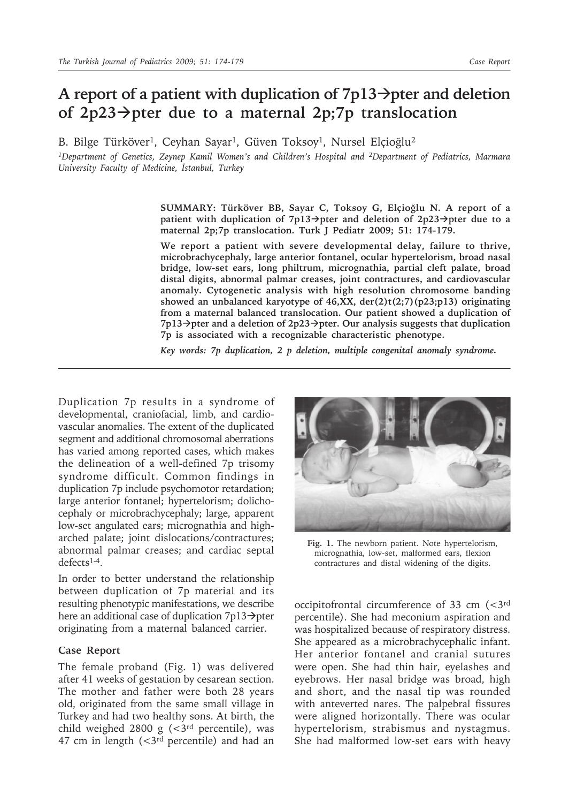# **A report of a patient with duplication of 7p13pter and deletion of 2p23pter due to a maternal 2p;7p translocation**

B. Bilge Türköver<sup>1</sup>, Ceyhan Sayar<sup>1</sup>, Güven Toksoy<sup>1</sup>, Nursel Elçioğlu<sup>2</sup>

*1Department of Genetics, Zeynep Kamil Women's and Children's Hospital and 2Department of Pediatrics, Marmara University Faculty of Medicine, İstanbul, Turkey*

> **SUMMARY: Türköver BB, Sayar C, Toksoy G, Elçioğlu N. A report of a patient with duplication of 7p13** $\rightarrow$ **pter and deletion of 2p23** $\rightarrow$ **pter due to a maternal 2p;7p translocation. Turk J Pediatr 2009; 51: 174-179.**

> **We report a patient with severe developmental delay, failure to thrive, microbrachycephaly, large anterior fontanel, ocular hypertelorism, broad nasal bridge, low-set ears, long philtrum, micrognathia, partial cleft palate, broad distal digits, abnormal palmar creases, joint contractures, and cardiovascular anomaly. Cytogenetic analysis with high resolution chromosome banding showed an unbalanced karyotype of 46,XX, der(2)t(2;7)(p23;p13) originating from a maternal balanced translocation. Our patient showed a duplication of 7p13pter and a deletion of 2p23pter. Our analysis suggests that duplication 7p is associated with a recognizable characteristic phenotype.**

*Key words: 7p duplication, 2 p deletion, multiple congenital anomaly syndrome.*

Duplication 7p results in a syndrome of developmental, craniofacial, limb, and cardiovascular anomalies. The extent of the duplicated segment and additional chromosomal aberrations has varied among reported cases, which makes the delineation of a well-defined 7p trisomy syndrome difficult. Common findings in duplication 7p include psychomotor retardation; large anterior fontanel; hypertelorism; dolichocephaly or microbrachycephaly; large, apparent low-set angulated ears; micrognathia and higharched palate; joint dislocations/contractures; abnormal palmar creases; and cardiac septal defects1-4.

In order to better understand the relationship between duplication of 7p material and its resulting phenotypic manifestations, we describe here an additional case of duplication  $7p13 \rightarrow$ pter originating from a maternal balanced carrier.

## **Case Report**

The female proband (Fig. 1) was delivered after 41 weeks of gestation by cesarean section. The mother and father were both 28 years old, originated from the same small village in Turkey and had two healthy sons. At birth, the child weighed 2800 g  $\left( < \frac{3}{rd} \right)$  percentile), was 47 cm in length  $( $3^{rd}$  percentile) and had an$ 



**Fig. 1.** The newborn patient. Note hypertelorism, micrognathia, low-set, malformed ears, flexion contractures and distal widening of the digits.

occipitofrontal circumference of 33 cm (<3rd percentile). She had meconium aspiration and was hospitalized because of respiratory distress. She appeared as a microbrachycephalic infant. Her anterior fontanel and cranial sutures were open. She had thin hair, eyelashes and eyebrows. Her nasal bridge was broad, high and short, and the nasal tip was rounded with anteverted nares. The palpebral fissures were aligned horizontally. There was ocular hypertelorism, strabismus and nystagmus. She had malformed low-set ears with heavy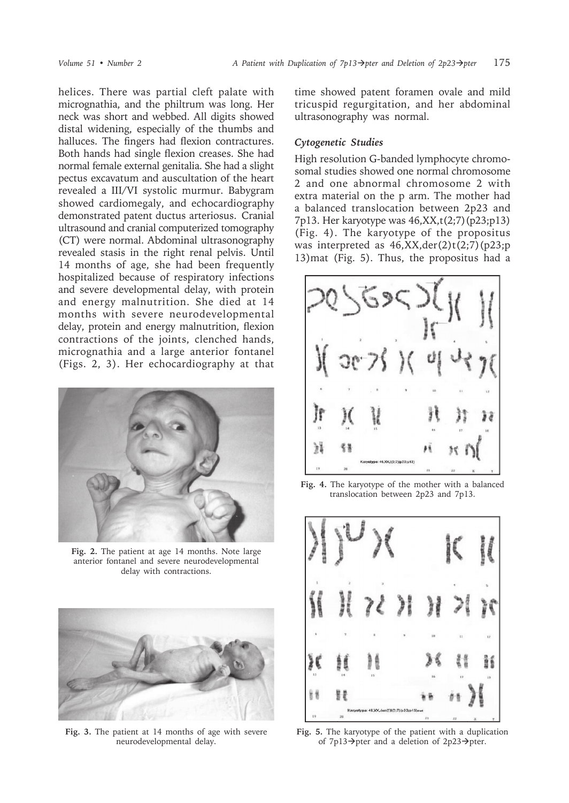helices. There was partial cleft palate with micrognathia, and the philtrum was long. Her neck was short and webbed. All digits showed distal widening, especially of the thumbs and halluces. The fingers had flexion contractures. Both hands had single flexion creases. She had normal female external genitalia. She had a slight pectus excavatum and auscultation of the heart revealed a III/VI systolic murmur. Babygram showed cardiomegaly, and echocardiography demonstrated patent ductus arteriosus. Cranial ultrasound and cranial computerized tomography (CT) were normal. Abdominal ultrasonography revealed stasis in the right renal pelvis. Until 14 months of age, she had been frequently hospitalized because of respiratory infections and severe developmental delay, with protein and energy malnutrition. She died at 14 months with severe neurodevelopmental delay, protein and energy malnutrition, flexion contractions of the joints, clenched hands, micrognathia and a large anterior fontanel (Figs. 2, 3). Her echocardiography at that



**Fig. 2.** The patient at age 14 months. Note large anterior fontanel and severe neurodevelopmental delay with contractions.



**Fig. 3.** The patient at 14 months of age with severe neurodevelopmental delay.

time showed patent foramen ovale and mild tricuspid regurgitation, and her abdominal ultrasonography was normal.

## *Cytogenetic Studies*

High resolution G-banded lymphocyte chromosomal studies showed one normal chromosome 2 and one abnormal chromosome 2 with extra material on the p arm. The mother had a balanced translocation between 2p23 and 7p13. Her karyotype was 46,XX,t(2;7)(p23;p13) (Fig. 4). The karyotype of the propositus was interpreted as  $46, XX, der(2)t(2,7)(p23;p)$ 13)mat (Fig. 5). Thus, the propositus had a



**Fig. 4.** The karyotype of the mother with a balanced translocation between 2p23 and 7p13.



**Fig. 5.** The karyotype of the patient with a duplication of 7p13 $\rightarrow$ pter and a deletion of 2p23 $\rightarrow$ pter.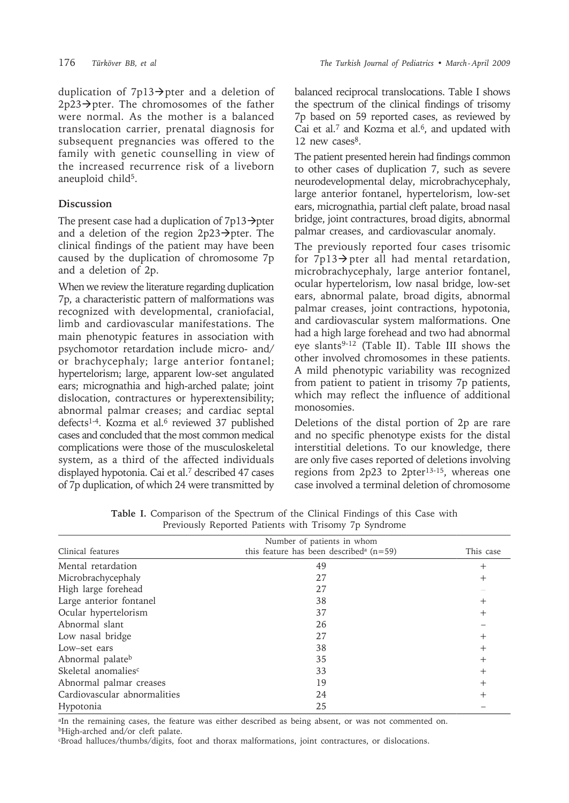duplication of  $7p13 \rightarrow$  pter and a deletion of  $2p23 \rightarrow$ pter. The chromosomes of the father were normal. As the mother is a balanced translocation carrier, prenatal diagnosis for subsequent pregnancies was offered to the family with genetic counselling in view of the increased recurrence risk of a liveborn aneuploid child<sup>5</sup>.

## **Discussion**

The present case had a duplication of  $7p13 \rightarrow$ pter and a deletion of the region  $2p23 \rightarrow$ pter. The clinical findings of the patient may have been caused by the duplication of chromosome 7p and a deletion of 2p.

When we review the literature regarding duplication 7p, a characteristic pattern of malformations was recognized with developmental, craniofacial, limb and cardiovascular manifestations. The main phenotypic features in association with psychomotor retardation include micro- and/ or brachycephaly; large anterior fontanel; hypertelorism; large, apparent low-set angulated ears; micrognathia and high-arched palate; joint dislocation, contractures or hyperextensibility; abnormal palmar creases; and cardiac septal defects<sup>1-4</sup>. Kozma et al.<sup>6</sup> reviewed 37 published cases and concluded that the most common medical complications were those of the musculoskeletal system, as a third of the affected individuals displayed hypotonia. Cai et al.7 described 47 cases of 7p duplication, of which 24 were transmitted by balanced reciprocal translocations. Table I shows the spectrum of the clinical findings of trisomy 7p based on 59 reported cases, as reviewed by Cai et al.<sup>7</sup> and Kozma et al.<sup>6</sup>, and updated with 12 new cases<sup>8</sup>.

The patient presented herein had findings common to other cases of duplication 7, such as severe neurodevelopmental delay, microbrachycephaly, large anterior fontanel, hypertelorism, low-set ears, micrognathia, partial cleft palate, broad nasal bridge, joint contractures, broad digits, abnormal palmar creases, and cardiovascular anomaly.

The previously reported four cases trisomic for  $7p13 \rightarrow$  pter all had mental retardation, microbrachycephaly, large anterior fontanel, ocular hypertelorism, low nasal bridge, low-set ears, abnormal palate, broad digits, abnormal palmar creases, joint contractions, hypotonia, and cardiovascular system malformations. One had a high large forehead and two had abnormal eye slants<sup>9-12</sup> (Table II). Table III shows the other involved chromosomes in these patients. A mild phenotypic variability was recognized from patient to patient in trisomy 7p patients, which may reflect the influence of additional monosomies.

Deletions of the distal portion of 2p are rare and no specific phenotype exists for the distal interstitial deletions. To our knowledge, there are only five cases reported of deletions involving regions from 2p23 to 2pter13-15, whereas one case involved a terminal deletion of chromosome

|                                 | Number of patients in whom                              |                |
|---------------------------------|---------------------------------------------------------|----------------|
| Clinical features               | this feature has been described <sup>a</sup> ( $n=59$ ) | This case      |
| Mental retardation              | 49                                                      | $\overline{+}$ |
| Microbrachycephaly              | 27                                                      | $\, + \,$      |
| High large forehead             | 27                                                      |                |
| Large anterior fontanel         | 38                                                      |                |
| Ocular hypertelorism            | 37                                                      | ┿              |
| Abnormal slant                  | 26                                                      |                |
| Low nasal bridge                | 27                                                      | $\, +$         |
| Low-set ears                    | 38                                                      | $\mathrm{+}$   |
| Abnormal palateb                | 35                                                      | $\, +$         |
| Skeletal anomalies <sup>c</sup> | 33                                                      | $^{+}$         |
| Abnormal palmar creases         | 19                                                      | $^+$           |
| Cardiovascular abnormalities    | 24                                                      | $^+$           |
| Hypotonia                       | 25                                                      |                |

**Table I.** Comparison of the Spectrum of the Clinical Findings of this Case with Previously Reported Patients with Trisomy 7p Syndrome

<sup>a</sup>In the remaining cases, the feature was either described as being absent, or was not commented on. bHigh-arched and/or cleft palate.

cBroad halluces/thumbs/digits, foot and thorax malformations, joint contractures, or dislocations.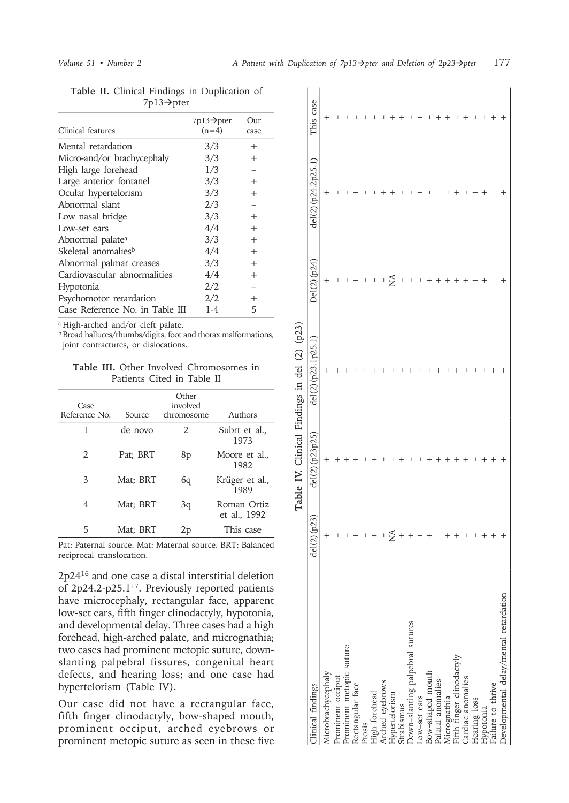| Clinical features               | 7p13→pter<br>$(n=4)$ | Our<br>case    |
|---------------------------------|----------------------|----------------|
| Mental retardation              | 3/3                  | $^{+}$         |
| Micro-and/or brachycephaly      | 3/3                  | $\overline{+}$ |
| High large forehead             | 1/3                  |                |
| Large anterior fontanel         | 3/3                  | $^{+}$         |
| Ocular hypertelorism            | 3/3                  | $^{+}$         |
| Abnormal slant                  | 2/3                  |                |
| Low nasal bridge                | 3/3                  | $^{+}$         |
| Low-set ears                    | 4/4                  | $^{+}$         |
| Abnormal palate <sup>a</sup>    | 3/3                  | $^{+}$         |
| Skeletal anomalies <sup>b</sup> | 4/4                  | $^{+}$         |
| Abnormal palmar creases         | 3/3                  | $^{+}$         |
| Cardiovascular abnormalities    | 4/4                  | $^{+}$         |
| <b>Hypotonia</b>                | 2/2                  |                |
| Psychomotor retardation         | 2/2                  | $^{+}$         |
| Case Reference No. in Table III | $1 - 4$              | 5              |

**Table II.** Clinical Findings in Duplication of  $7p13 \rightarrow pter$ 

a High-arched and/or cleft palate.

**b** Broad halluces/thumbs/digits, foot and thorax malformations, joint contractures, or dislocations.

|  |                            |  | <b>Table III.</b> Other Involved Chromosomes in |  |
|--|----------------------------|--|-------------------------------------------------|--|
|  | Patients Cited in Table II |  |                                                 |  |

| Case<br>Reference No.       | Source   | Other<br>involved<br>chromosome | Authors                     |
|-----------------------------|----------|---------------------------------|-----------------------------|
| 1                           | de novo  | 2                               | Subrt et al.,<br>1973       |
| $\mathcal{D}_{\mathcal{L}}$ | Pat: BRT | 8p                              | Moore et al.,<br>1982       |
| 3                           | Mat: BRT | 6q                              | Krüger et al.,<br>1989      |
| 4                           | Mat; BRT | 3q                              | Roman Ortiz<br>et al., 1992 |
| 5                           | Mat: BRT | 2p                              | This case                   |

Pat: Paternal source. Mat: Maternal source. BRT: Balanced reciprocal translocation.

2p2416 and one case a distal interstitial deletion of 2p24.2-p25.117. Previously reported patients have microcephaly, rectangular face, apparent low-set ears, fifth finger clinodactyly, hypotonia, and developmental delay. Three cases had a high forehead, high-arched palate, and micrognathia; two cases had prominent metopic suture, downslanting palpebral fissures, congenital heart defects, and hearing loss; and one case had hypertelorism (Table IV).

Our case did not have a rectangular face, fifth finger clinodactyly, bow-shaped mouth, prominent occiput, arched eyebrows or prominent metopic suture as seen in these five

|                                                                             |   |                | Table IV. Clinical Findings in del (2) (p23) |               |                    |           |
|-----------------------------------------------------------------------------|---|----------------|----------------------------------------------|---------------|--------------------|-----------|
| Clinical findings                                                           | ತ | del(2)(p23p25) | del(2)(p23.1p25.1)                           | Del (2) (p24) | del(2)(p24.2p25.1) | This case |
| Microbrachycephaly                                                          |   |                |                                              |               |                    |           |
| Prominent occiput<br>Prominent metopic suture<br>Rectangular face<br>Prosis |   |                |                                              |               |                    |           |
|                                                                             |   |                |                                              |               |                    |           |
|                                                                             |   |                |                                              |               |                    |           |
|                                                                             |   |                |                                              |               |                    |           |
| High forehead<br>Arched eyebrows                                            |   |                |                                              |               |                    |           |
|                                                                             |   |                |                                              |               |                    |           |
| Hypertelorism<br>Strabismus                                                 | ž |                |                                              | ≨             |                    |           |
|                                                                             |   |                |                                              |               |                    |           |
| Down-slanting palpebral sutures                                             |   |                |                                              |               |                    |           |
|                                                                             |   |                |                                              |               |                    |           |
| Low-set ears<br>Bow-shaped mouth<br>Palatal anomalies                       |   |                |                                              |               |                    |           |
|                                                                             |   |                |                                              |               |                    |           |
|                                                                             |   |                |                                              |               |                    |           |
| Micrognathia<br>Fifth finger clinodactyly<br>Cardiac anomalies              |   |                |                                              |               |                    |           |
|                                                                             |   |                |                                              |               |                    |           |
| Hearing loss<br>Hypotonia                                                   |   |                |                                              |               |                    |           |
|                                                                             |   |                |                                              |               |                    |           |
| Failure to thrive                                                           |   |                |                                              |               |                    |           |
| Developmental delay/mental retardation                                      |   |                |                                              |               |                    |           |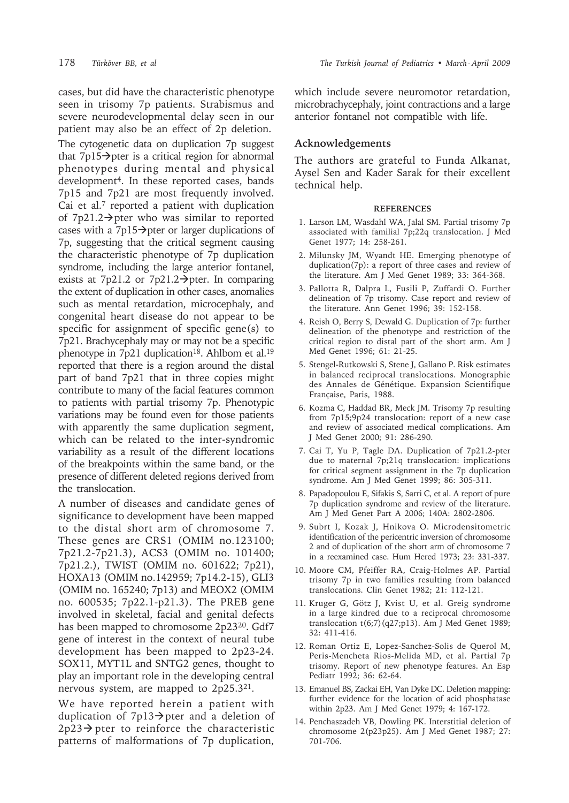cases, but did have the characteristic phenotype seen in trisomy 7p patients. Strabismus and severe neurodevelopmental delay seen in our patient may also be an effect of 2p deletion.

The cytogenetic data on duplication 7p suggest that  $7p15 \rightarrow$  pter is a critical region for abnormal phenotypes during mental and physical development<sup>4</sup>. In these reported cases, bands 7p15 and 7p21 are most frequently involved. Cai et al.7 reported a patient with duplication of  $7p21.2 \rightarrow$  pter who was similar to reported cases with a 7p15 $\rightarrow$ pter or larger duplications of 7p, suggesting that the critical segment causing the characteristic phenotype of 7p duplication syndrome, including the large anterior fontanel, exists at 7p21.2 or 7p21.2 $\rightarrow$ pter. In comparing the extent of duplication in other cases, anomalies such as mental retardation, microcephaly, and congenital heart disease do not appear to be specific for assignment of specific gene(s) to 7p21. Brachycephaly may or may not be a specific phenotype in 7p21 duplication<sup>18</sup>. Ahlbom et al.<sup>19</sup> reported that there is a region around the distal part of band 7p21 that in three copies might contribute to many of the facial features common to patients with partial trisomy 7p. Phenotypic variations may be found even for those patients with apparently the same duplication segment, which can be related to the inter-syndromic variability as a result of the different locations of the breakpoints within the same band, or the presence of different deleted regions derived from the translocation.

A number of diseases and candidate genes of significance to development have been mapped to the distal short arm of chromosome 7. These genes are CRS1 (OMIM no.123100; 7p21.2-7p21.3), ACS3 (OMIM no. 101400; 7p21.2.), TWIST (OMIM no. 601622; 7p21), HOXA13 (OMIM no.142959; 7p14.2-15), GLI3 (OMIM no. 165240; 7p13) and MEOX2 (OMIM no. 600535; 7p22.1-p21.3). The PREB gene involved in skeletal, facial and genital defects has been mapped to chromosome 2p23<sup>20</sup>. Gdf7 gene of interest in the context of neural tube development has been mapped to 2p23-24. SOX11, MYT1L and SNTG2 genes, thought to play an important role in the developing central nervous system, are mapped to 2p25.321.

We have reported herein a patient with duplication of  $7p13 \rightarrow$  pter and a deletion of  $2p23 \rightarrow$  pter to reinforce the characteristic patterns of malformations of 7p duplication,

which include severe neuromotor retardation, microbrachycephaly, joint contractions and a large anterior fontanel not compatible with life.

## **Acknowledgements**

The authors are grateful to Funda Alkanat, Aysel Sen and Kader Sarak for their excellent technical help.

#### **REFERENCES**

- 1. Larson LM, Wasdahl WA, Jalal SM. Partial trisomy 7p associated with familial 7p;22q translocation. J Med Genet 1977; 14: 258-261.
- 2. Milunsky JM, Wyandt HE. Emerging phenotype of duplication(7p): a report of three cases and review of the literature. Am J Med Genet 1989; 33: 364-368.
- 3. Pallotta R, Dalpra L, Fusili P, Zuffardi O. Further delineation of 7p trisomy. Case report and review of the literature. Ann Genet 1996; 39: 152-158.
- 4. Reish O, Berry S, Dewald G. Duplication of 7p: further delineation of the phenotype and restriction of the critical region to distal part of the short arm. Am J Med Genet 1996; 61: 21-25.
- 5. Stengel-Rutkowski S, Stene J, Gallano P. Risk estimates in balanced reciprocal translocations. Monographie des Annales de Génétique. Expansion Scientifique Française, Paris, 1988.
- 6. Kozma C, Haddad BR, Meck JM. Trisomy 7p resulting from 7p15;9p24 translocation: report of a new case and review of associated medical complications. Am J Med Genet 2000; 91: 286-290.
- 7. Cai T, Yu P, Tagle DA. Duplication of 7p21.2-pter due to maternal 7p;21q translocation: implications for critical segment assignment in the 7p duplication syndrome. Am J Med Genet 1999; 86: 305-311.
- 8. Papadopoulou E, Sifakis S, Sarri C, et al. A report of pure 7p duplication syndrome and review of the literature. Am J Med Genet Part A 2006; 140A: 2802-2806.
- 9. Subrt I, Kozak J, Hnikova O. Microdensitometric identification of the pericentric inversion of chromosome 2 and of duplication of the short arm of chromosome 7 in a reexamined case. Hum Hered 1973; 23: 331-337.
- 10. Moore CM, Pfeiffer RA, Craig-Holmes AP. Partial trisomy 7p in two families resulting from balanced translocations. Clin Genet 1982; 21: 112-121.
- 11. Kruger G, Götz J, Kvist U, et al. Greig syndrome in a large kindred due to a reciprocal chromosome translocation t(6;7)(q27;p13). Am J Med Genet 1989; 32: 411-416.
- 12. Roman Ortiz E, Lopez-Sanchez-Solis de Querol M, Peris-Mencheta Rios-Melida MD, et al. Partial 7p trisomy. Report of new phenotype features. An Esp Pediatr 1992; 36: 62-64.
- 13. Emanuel BS, Zackai EH, Van Dyke DC. Deletion mapping: further evidence for the location of acid phosphatase within 2p23. Am J Med Genet 1979; 4: 167-172.
- 14. Penchaszadeh VB, Dowling PK. Interstitial deletion of chromosome 2(p23p25). Am J Med Genet 1987; 27: 701-706.